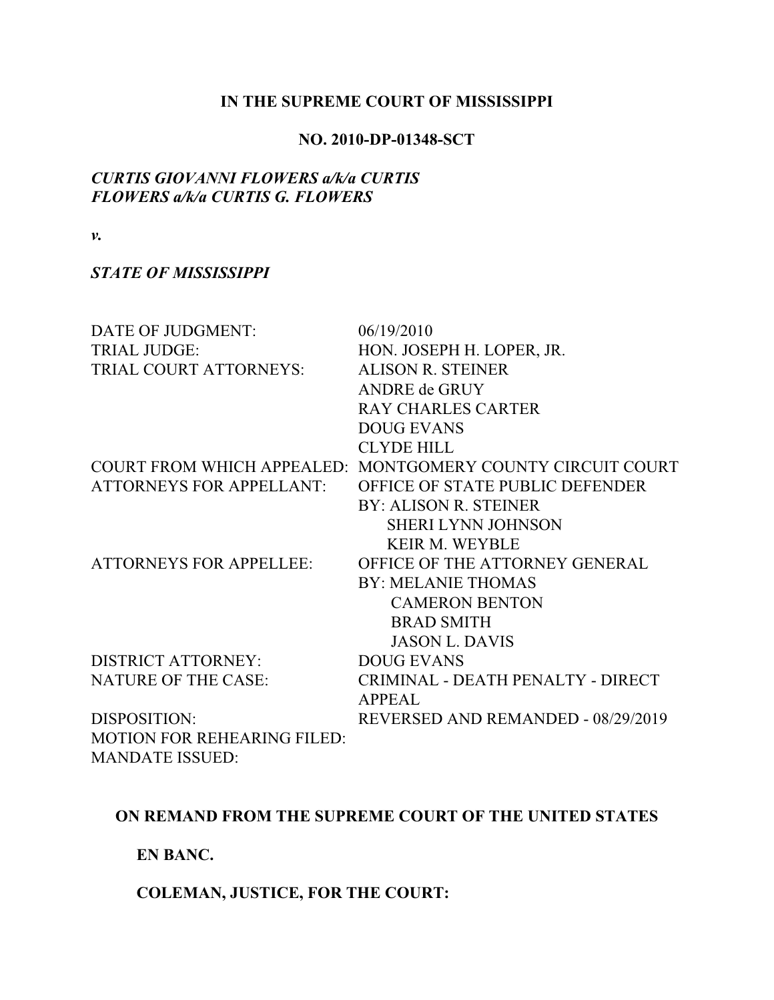#### **IN THE SUPREME COURT OF MISSISSIPPI**

#### **NO. 2010-DP-01348-SCT**

## *CURTIS GIOVANNI FLOWERS a/k/a CURTIS FLOWERS a/k/a CURTIS G. FLOWERS*

*v.*

## *STATE OF MISSISSIPPI*

| DATE OF JUDGMENT:                  | 06/19/2010                                                 |
|------------------------------------|------------------------------------------------------------|
| <b>TRIAL JUDGE:</b>                | HON. JOSEPH H. LOPER, JR.                                  |
| TRIAL COURT ATTORNEYS:             | <b>ALISON R. STEINER</b>                                   |
|                                    | <b>ANDRE de GRUY</b>                                       |
|                                    | <b>RAY CHARLES CARTER</b>                                  |
|                                    | <b>DOUG EVANS</b>                                          |
|                                    | <b>CLYDE HILL</b>                                          |
|                                    | COURT FROM WHICH APPEALED: MONTGOMERY COUNTY CIRCUIT COURT |
| <b>ATTORNEYS FOR APPELLANT:</b>    | OFFICE OF STATE PUBLIC DEFENDER                            |
|                                    | <b>BY: ALISON R. STEINER</b>                               |
|                                    | <b>SHERI LYNN JOHNSON</b>                                  |
|                                    | <b>KEIR M. WEYBLE</b>                                      |
| <b>ATTORNEYS FOR APPELLEE:</b>     | OFFICE OF THE ATTORNEY GENERAL                             |
|                                    | <b>BY: MELANIE THOMAS</b>                                  |
|                                    | <b>CAMERON BENTON</b>                                      |
|                                    | <b>BRAD SMITH</b>                                          |
|                                    | <b>JASON L. DAVIS</b>                                      |
| <b>DISTRICT ATTORNEY:</b>          | <b>DOUG EVANS</b>                                          |
| <b>NATURE OF THE CASE:</b>         | CRIMINAL - DEATH PENALTY - DIRECT                          |
|                                    | <b>APPEAL</b>                                              |
| DISPOSITION:                       | REVERSED AND REMANDED - 08/29/2019                         |
| <b>MOTION FOR REHEARING FILED:</b> |                                                            |
| <b>MANDATE ISSUED:</b>             |                                                            |

# **ON REMAND FROM THE SUPREME COURT OF THE UNITED STATES**

**EN BANC.**

**COLEMAN, JUSTICE, FOR THE COURT:**